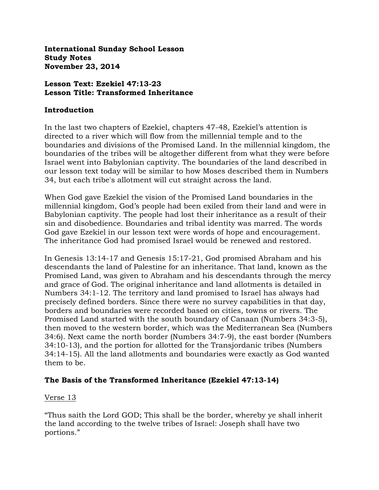**International Sunday School Lesson Study Notes November 23, 2014**

### **Lesson Text: Ezekiel 47:13-23 Lesson Title: Transformed Inheritance**

#### **Introduction**

In the last two chapters of Ezekiel, chapters 47-48, Ezekiel's attention is directed to a river which will flow from the millennial temple and to the boundaries and divisions of the Promised Land. In the millennial kingdom, the boundaries of the tribes will be altogether different from what they were before Israel went into Babylonian captivity. The boundaries of the land described in our lesson text today will be similar to how Moses described them in Numbers 34, but each tribe's allotment will cut straight across the land.

When God gave Ezekiel the vision of the Promised Land boundaries in the millennial kingdom, God's people had been exiled from their land and were in Babylonian captivity. The people had lost their inheritance as a result of their sin and disobedience. Boundaries and tribal identity was marred. The words God gave Ezekiel in our lesson text were words of hope and encouragement. The inheritance God had promised Israel would be renewed and restored.

In Genesis 13:14-17 and Genesis 15:17-21, God promised Abraham and his descendants the land of Palestine for an inheritance. That land, known as the Promised Land, was given to Abraham and his descendants through the mercy and grace of God. The original inheritance and land allotments is detailed in Numbers 34:1-12. The territory and land promised to Israel has always had precisely defined borders. Since there were no survey capabilities in that day, borders and boundaries were recorded based on cities, towns or rivers. The Promised Land started with the south boundary of Canaan (Numbers 34:3-5), then moved to the western border, which was the Mediterranean Sea (Numbers 34:6). Next came the north border (Numbers 34:7-9), the east border (Numbers 34:10-13), and the portion for allotted for the Transjordanic tribes (Numbers 34:14-15). All the land allotments and boundaries were exactly as God wanted them to be.

# **The Basis of the Transformed Inheritance (Ezekiel 47:13-14)**

# Verse 13

"Thus saith the Lord GOD; This shall be the border, whereby ye shall inherit the land according to the twelve tribes of Israel: Joseph shall have two portions."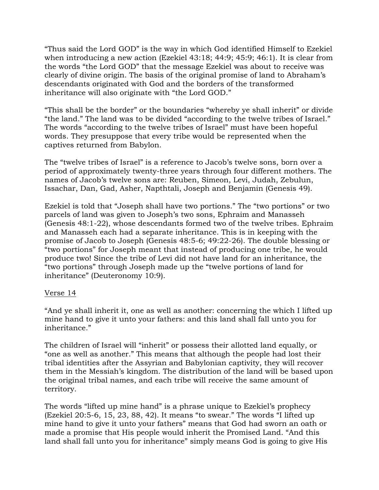"Thus said the Lord GOD" is the way in which God identified Himself to Ezekiel when introducing a new action (Ezekiel 43:18; 44:9; 45:9; 46:1). It is clear from the words "the Lord GOD" that the message Ezekiel was about to receive was clearly of divine origin. The basis of the original promise of land to Abraham's descendants originated with God and the borders of the transformed inheritance will also originate with "the Lord GOD."

"This shall be the border" or the boundaries "whereby ye shall inherit" or divide "the land." The land was to be divided "according to the twelve tribes of Israel." The words "according to the twelve tribes of Israel" must have been hopeful words. They presuppose that every tribe would be represented when the captives returned from Babylon.

The "twelve tribes of Israel" is a reference to Jacob's twelve sons, born over a period of approximately twenty-three years through four different mothers. The names of Jacob's twelve sons are: Reuben, Simeon, Levi, Judah, Zebulun, Issachar, Dan, Gad, Asher, Napthtali, Joseph and Benjamin (Genesis 49).

Ezekiel is told that "Joseph shall have two portions." The "two portions" or two parcels of land was given to Joseph's two sons, Ephraim and Manasseh (Genesis 48:1-22), whose descendants formed two of the twelve tribes. Ephraim and Manasseh each had a separate inheritance. This is in keeping with the promise of Jacob to Joseph (Genesis 48:5-6; 49:22-26). The double blessing or "two portions" for Joseph meant that instead of producing one tribe, he would produce two! Since the tribe of Levi did not have land for an inheritance, the "two portions" through Joseph made up the "twelve portions of land for inheritance" (Deuteronomy 10:9).

#### Verse 14

"And ye shall inherit it, one as well as another: concerning the which I lifted up mine hand to give it unto your fathers: and this land shall fall unto you for inheritance."

The children of Israel will "inherit" or possess their allotted land equally, or "one as well as another." This means that although the people had lost their tribal identities after the Assyrian and Babylonian captivity, they will recover them in the Messiah's kingdom. The distribution of the land will be based upon the original tribal names, and each tribe will receive the same amount of territory.

The words "lifted up mine hand" is a phrase unique to Ezekiel's prophecy (Ezekiel 20:5-6, 15, 23, 88, 42). It means "to swear." The words "I lifted up mine hand to give it unto your fathers" means that God had sworn an oath or made a promise that His people would inherit the Promised Land. "And this land shall fall unto you for inheritance" simply means God is going to give His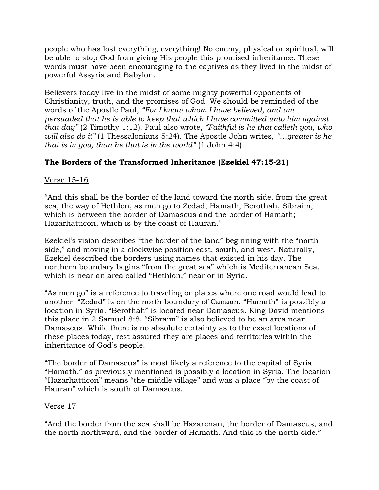people who has lost everything, everything! No enemy, physical or spiritual, will be able to stop God from giving His people this promised inheritance. These words must have been encouraging to the captives as they lived in the midst of powerful Assyria and Babylon.

Believers today live in the midst of some mighty powerful opponents of Christianity, truth, and the promises of God. We should be reminded of the words of the Apostle Paul, *"For I know whom I have believed, and am persuaded that he is able to keep that which I have committed unto him against that day"* (2 Timothy 1:12). Paul also wrote, *"Faithful is he that calleth you, who will also do it"* (1 Thessalonians 5:24). The Apostle John writes, *"…greater is he that is in you, than he that is in the world"* (1 John 4:4).

# **The Borders of the Transformed Inheritance (Ezekiel 47:15-21)**

# Verse 15-16

"And this shall be the border of the land toward the north side, from the great sea, the way of Hethlon, as men go to Zedad; Hamath, Berothah, Sibraim, which is between the border of Damascus and the border of Hamath; Hazarhatticon, which is by the coast of Hauran."

Ezekiel's vision describes "the border of the land" beginning with the "north side," and moving in a clockwise position east, south, and west. Naturally, Ezekiel described the borders using names that existed in his day. The northern boundary begins "from the great sea" which is Mediterranean Sea, which is near an area called "Hethlon," near or in Syria.

"As men go" is a reference to traveling or places where one road would lead to another. "Zedad" is on the north boundary of Canaan. "Hamath" is possibly a location in Syria. "Berothah" is located near Damascus. King David mentions this place in 2 Samuel 8:8. "Sibraim" is also believed to be an area near Damascus. While there is no absolute certainty as to the exact locations of these places today, rest assured they are places and territories within the inheritance of God's people.

"The border of Damascus" is most likely a reference to the capital of Syria. "Hamath," as previously mentioned is possibly a location in Syria. The location "Hazarhatticon" means "the middle village" and was a place "by the coast of Hauran" which is south of Damascus.

#### Verse 17

"And the border from the sea shall be Hazarenan, the border of Damascus, and the north northward, and the border of Hamath. And this is the north side."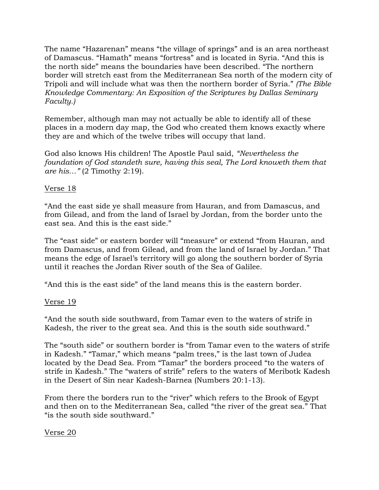The name "Hazarenan" means "the village of springs" and is an area northeast of Damascus. "Hamath" means "fortress" and is located in Syria. "And this is the north side" means the boundaries have been described. "The northern border will stretch east from the Mediterranean Sea north of the modern city of Tripoli and will include what was then the northern border of Syria." *(The Bible Knowledge Commentary: An Exposition of the Scriptures by Dallas Seminary Faculty.)*

Remember, although man may not actually be able to identify all of these places in a modern day map, the God who created them knows exactly where they are and which of the twelve tribes will occupy that land.

God also knows His children! The Apostle Paul said, *"Nevertheless the foundation of God standeth sure, having this seal, The Lord knoweth them that are his…"* (2 Timothy 2:19).

### Verse 18

"And the east side ye shall measure from Hauran, and from Damascus, and from Gilead, and from the land of Israel by Jordan, from the border unto the east sea. And this is the east side."

The "east side" or eastern border will "measure" or extend "from Hauran, and from Damascus, and from Gilead, and from the land of Israel by Jordan." That means the edge of Israel's territory will go along the southern border of Syria until it reaches the Jordan River south of the Sea of Galilee.

"And this is the east side" of the land means this is the eastern border.

#### Verse 19

"And the south side southward, from Tamar even to the waters of strife in Kadesh, the river to the great sea. And this is the south side southward."

The "south side" or southern border is "from Tamar even to the waters of strife in Kadesh." "Tamar," which means "palm trees," is the last town of Judea located by the Dead Sea. From "Tamar" the borders proceed "to the waters of strife in Kadesh." The "waters of strife" refers to the waters of Meribotk Kadesh in the Desert of Sin near Kadesh-Barnea (Numbers 20:1-13).

From there the borders run to the "river" which refers to the Brook of Egypt and then on to the Mediterranean Sea, called "the river of the great sea." That "is the south side southward."

Verse 20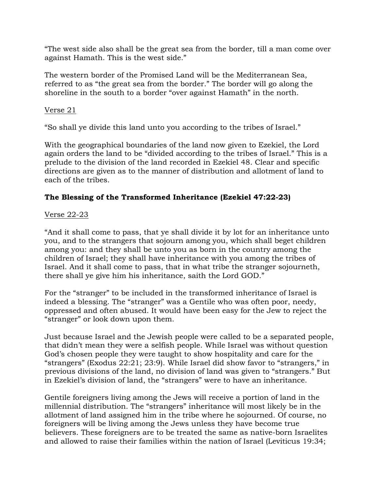"The west side also shall be the great sea from the border, till a man come over against Hamath. This is the west side."

The western border of the Promised Land will be the Mediterranean Sea, referred to as "the great sea from the border." The border will go along the shoreline in the south to a border "over against Hamath" in the north.

### Verse 21

"So shall ye divide this land unto you according to the tribes of Israel."

With the geographical boundaries of the land now given to Ezekiel, the Lord again orders the land to be "divided according to the tribes of Israel." This is a prelude to the division of the land recorded in Ezekiel 48. Clear and specific directions are given as to the manner of distribution and allotment of land to each of the tribes.

# **The Blessing of the Transformed Inheritance (Ezekiel 47:22-23)**

### Verse 22-23

"And it shall come to pass, that ye shall divide it by lot for an inheritance unto you, and to the strangers that sojourn among you, which shall beget children among you: and they shall be unto you as born in the country among the children of Israel; they shall have inheritance with you among the tribes of Israel. And it shall come to pass, that in what tribe the stranger sojourneth, there shall ye give him his inheritance, saith the Lord GOD."

For the "stranger" to be included in the transformed inheritance of Israel is indeed a blessing. The "stranger" was a Gentile who was often poor, needy, oppressed and often abused. It would have been easy for the Jew to reject the "stranger" or look down upon them.

Just because Israel and the Jewish people were called to be a separated people, that didn't mean they were a selfish people. While Israel was without question God's chosen people they were taught to show hospitality and care for the "strangers" (Exodus 22:21; 23:9). While Israel did show favor to "strangers," in previous divisions of the land, no division of land was given to "strangers." But in Ezekiel's division of land, the "strangers" were to have an inheritance.

Gentile foreigners living among the Jews will receive a portion of land in the millennial distribution. The "strangers" inheritance will most likely be in the allotment of land assigned him in the tribe where he sojourned. Of course, no foreigners will be living among the Jews unless they have become true believers. These foreigners are to be treated the same as native-born Israelites and allowed to raise their families within the nation of Israel (Leviticus 19:34;